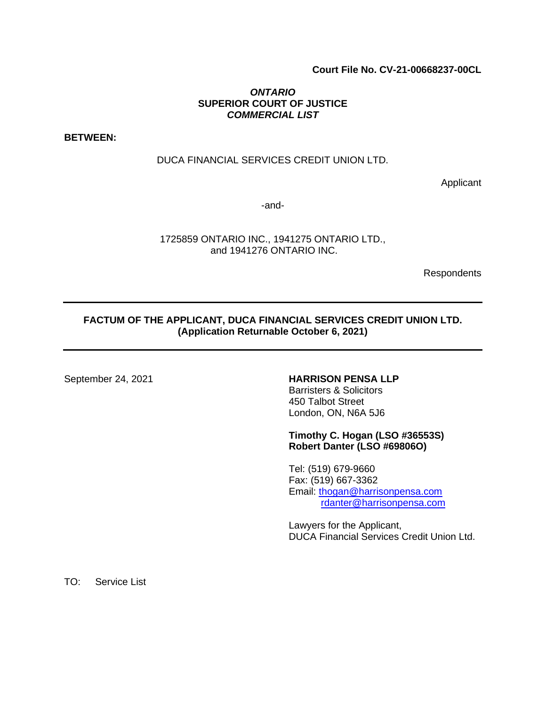# **Court File No. CV-21-00668237-00CL**

### *ONTARIO*  **SUPERIOR COURT OF JUSTICE**  *COMMERCIAL LIST*

**BETWEEN:** 

#### DUCA FINANCIAL SERVICES CREDIT UNION LTD.

Applicant

-and-

1725859 ONTARIO INC., 1941275 ONTARIO LTD., and 1941276 ONTARIO INC.

Respondents

# **FACTUM OF THE APPLICANT, DUCA FINANCIAL SERVICES CREDIT UNION LTD. (Application Returnable October 6, 2021)**

# September 24, 2021 **HARRISON PENSA LLP**

Barristers & Solicitors 450 Talbot Street London, ON, N6A 5J6

#### **Timothy C. Hogan (LSO #36553S) Robert Danter (LSO #69806O)**

Tel: (519) 679-9660 Fax: (519) 667-3362 Email: [thogan@harrisonpensa.com](mailto:thogan@harrisonpensa.com) [rdanter@harrisonpensa.com](mailto:rdanter@harrisonpensa.com)

Lawyers for the Applicant, DUCA Financial Services Credit Union Ltd.

TO: Service List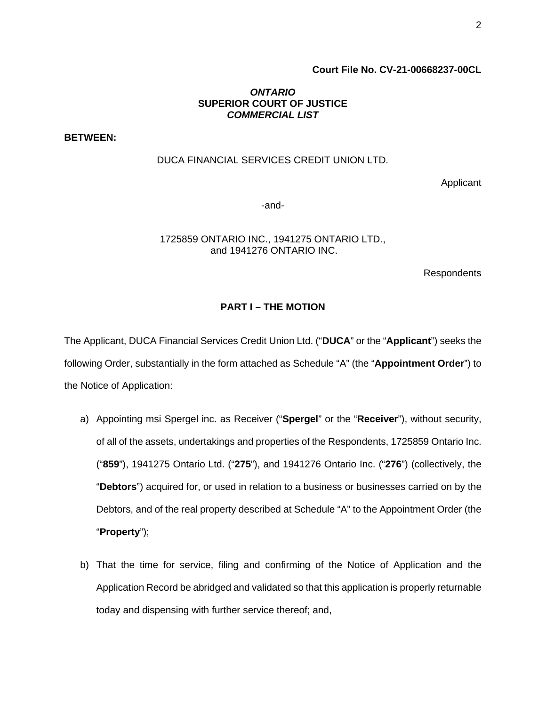# **Court File No. CV-21-00668237-00CL**

### *ONTARIO*  **SUPERIOR COURT OF JUSTICE**  *COMMERCIAL LIST*

**BETWEEN:** 

#### DUCA FINANCIAL SERVICES CREDIT UNION LTD.

Applicant

-and-

1725859 ONTARIO INC., 1941275 ONTARIO LTD., and 1941276 ONTARIO INC.

Respondents

#### **PART I – THE MOTION**

The Applicant, DUCA Financial Services Credit Union Ltd. ("**DUCA**" or the "**Applicant**") seeks the following Order, substantially in the form attached as Schedule "A" (the "**Appointment Order**") to the Notice of Application:

- a) Appointing msi Spergel inc. as Receiver ("**Spergel**" or the "**Receiver**"), without security, of all of the assets, undertakings and properties of the Respondents, 1725859 Ontario Inc. ("**859**"), 1941275 Ontario Ltd. ("**275**"), and 1941276 Ontario Inc. ("**276**") (collectively, the "**Debtors**") acquired for, or used in relation to a business or businesses carried on by the Debtors, and of the real property described at Schedule "A" to the Appointment Order (the "**Property**");
- b) That the time for service, filing and confirming of the Notice of Application and the Application Record be abridged and validated so that this application is properly returnable today and dispensing with further service thereof; and,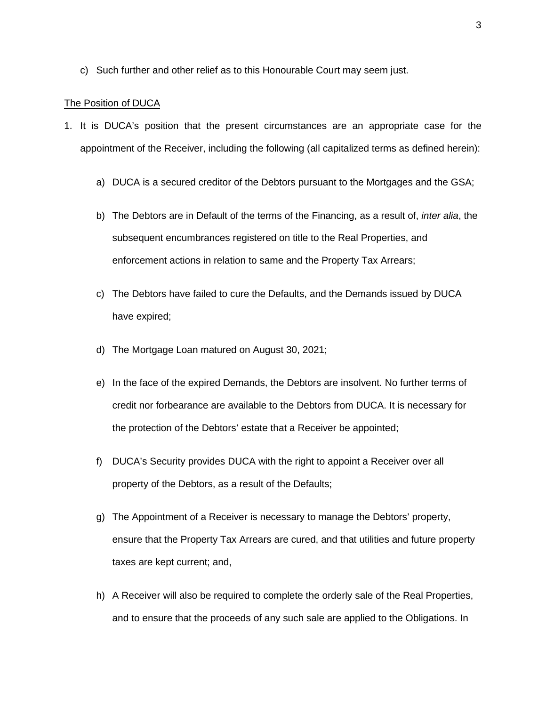c) Such further and other relief as to this Honourable Court may seem just.

#### The Position of DUCA

- 1. It is DUCA's position that the present circumstances are an appropriate case for the appointment of the Receiver, including the following (all capitalized terms as defined herein):
	- a) DUCA is a secured creditor of the Debtors pursuant to the Mortgages and the GSA;
	- b) The Debtors are in Default of the terms of the Financing, as a result of, *inter alia*, the subsequent encumbrances registered on title to the Real Properties, and enforcement actions in relation to same and the Property Tax Arrears;
	- c) The Debtors have failed to cure the Defaults, and the Demands issued by DUCA have expired;
	- d) The Mortgage Loan matured on August 30, 2021;
	- e) In the face of the expired Demands, the Debtors are insolvent. No further terms of credit nor forbearance are available to the Debtors from DUCA. It is necessary for the protection of the Debtors' estate that a Receiver be appointed;
	- f) DUCA's Security provides DUCA with the right to appoint a Receiver over all property of the Debtors, as a result of the Defaults;
	- g) The Appointment of a Receiver is necessary to manage the Debtors' property, ensure that the Property Tax Arrears are cured, and that utilities and future property taxes are kept current; and,
	- h) A Receiver will also be required to complete the orderly sale of the Real Properties, and to ensure that the proceeds of any such sale are applied to the Obligations. In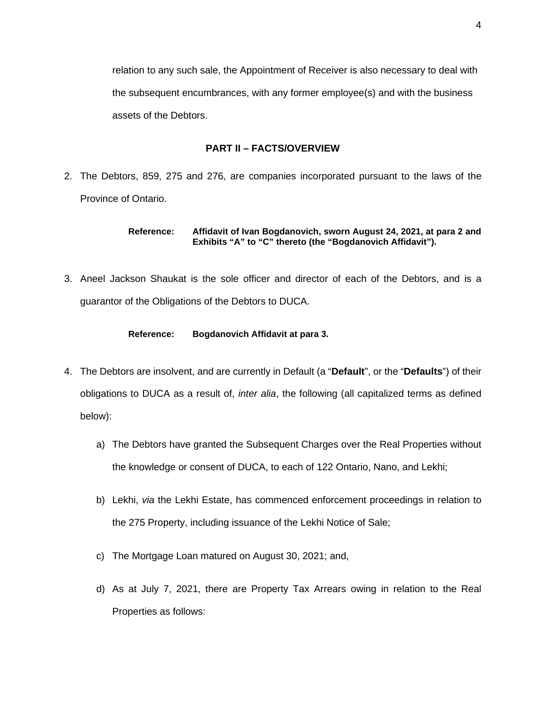relation to any such sale, the Appointment of Receiver is also necessary to deal with the subsequent encumbrances, with any former employee(s) and with the business assets of the Debtors.

# **PART II – FACTS/OVERVIEW**

2. The Debtors, 859, 275 and 276, are companies incorporated pursuant to the laws of the Province of Ontario.

> **Reference: Affidavit of Ivan Bogdanovich, sworn August 24, 2021, at para 2 and Exhibits "A" to "C" thereto (the "Bogdanovich Affidavit").**

3. Aneel Jackson Shaukat is the sole officer and director of each of the Debtors, and is a guarantor of the Obligations of the Debtors to DUCA.

# **Reference: Bogdanovich Affidavit at para 3.**

- 4. The Debtors are insolvent, and are currently in Default (a "**Default**", or the "**Defaults**") of their obligations to DUCA as a result of, *inter alia*, the following (all capitalized terms as defined below):
	- a) The Debtors have granted the Subsequent Charges over the Real Properties without the knowledge or consent of DUCA, to each of 122 Ontario, Nano, and Lekhi;
	- b) Lekhi, *via* the Lekhi Estate, has commenced enforcement proceedings in relation to the 275 Property, including issuance of the Lekhi Notice of Sale;
	- c) The Mortgage Loan matured on August 30, 2021; and,
	- d) As at July 7, 2021, there are Property Tax Arrears owing in relation to the Real Properties as follows: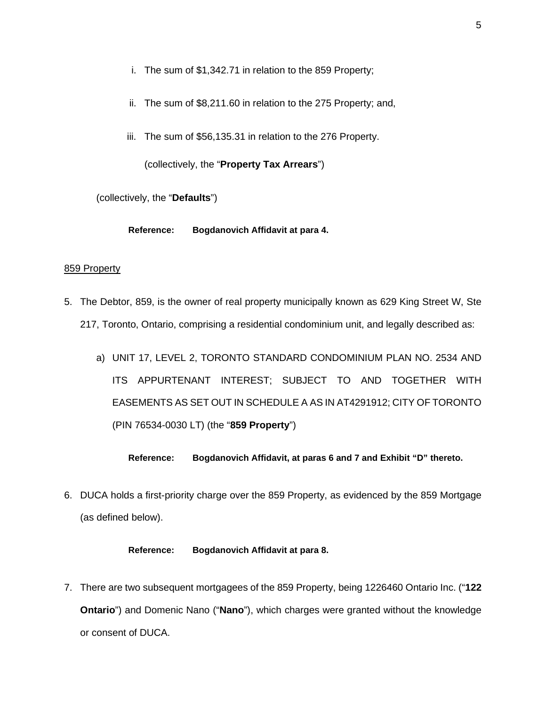- i. The sum of \$1,342.71 in relation to the 859 Property;
- ii. The sum of \$8,211.60 in relation to the 275 Property; and,
- iii. The sum of \$56,135.31 in relation to the 276 Property.

(collectively, the "**Property Tax Arrears**")

(collectively, the "**Defaults**")

**Reference: Bogdanovich Affidavit at para 4.** 

### 859 Property

- 5. The Debtor, 859, is the owner of real property municipally known as 629 King Street W, Ste 217, Toronto, Ontario, comprising a residential condominium unit, and legally described as:
	- a) UNIT 17, LEVEL 2, TORONTO STANDARD CONDOMINIUM PLAN NO. 2534 AND ITS APPURTENANT INTEREST; SUBJECT TO AND TOGETHER WITH EASEMENTS AS SET OUT IN SCHEDULE A AS IN AT4291912; CITY OF TORONTO (PIN 76534-0030 LT) (the "**859 Property**")

**Reference: Bogdanovich Affidavit, at paras 6 and 7 and Exhibit "D" thereto.** 

6. DUCA holds a first-priority charge over the 859 Property, as evidenced by the 859 Mortgage (as defined below).

#### **Reference: Bogdanovich Affidavit at para 8.**

7. There are two subsequent mortgagees of the 859 Property, being 1226460 Ontario Inc. ("**122 Ontario**") and Domenic Nano ("**Nano**"), which charges were granted without the knowledge or consent of DUCA.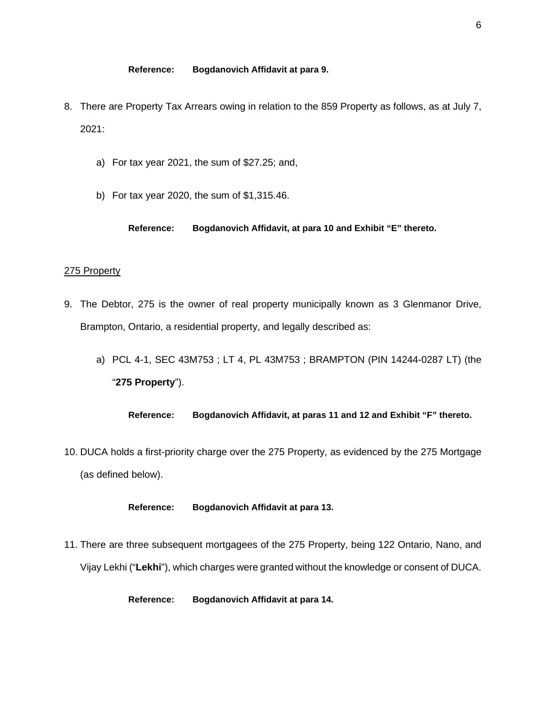- 8. There are Property Tax Arrears owing in relation to the 859 Property as follows, as at July 7, 2021:
	- a) For tax year 2021, the sum of \$27.25; and,
	- b) For tax year 2020, the sum of \$1,315.46.

**Reference: Bogdanovich Affidavit, at para 10 and Exhibit "E" thereto.** 

#### 275 Property

- 9. The Debtor, 275 is the owner of real property municipally known as 3 Glenmanor Drive, Brampton, Ontario, a residential property, and legally described as:
	- a) PCL 4-1, SEC 43M753 ; LT 4, PL 43M753 ; BRAMPTON (PIN 14244-0287 LT) (the "**275 Property**").

**Reference: Bogdanovich Affidavit, at paras 11 and 12 and Exhibit "F" thereto.** 

10. DUCA holds a first-priority charge over the 275 Property, as evidenced by the 275 Mortgage (as defined below).

#### **Reference: Bogdanovich Affidavit at para 13.**

11. There are three subsequent mortgagees of the 275 Property, being 122 Ontario, Nano, and Vijay Lekhi ("**Lekhi**"), which charges were granted without the knowledge or consent of DUCA.

**Reference: Bogdanovich Affidavit at para 14.**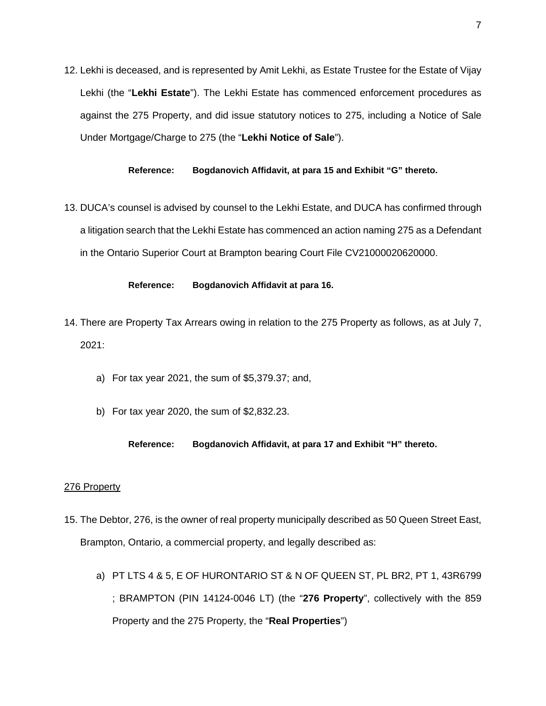12. Lekhi is deceased, and is represented by Amit Lekhi, as Estate Trustee for the Estate of Vijay Lekhi (the "**Lekhi Estate**"). The Lekhi Estate has commenced enforcement procedures as against the 275 Property, and did issue statutory notices to 275, including a Notice of Sale Under Mortgage/Charge to 275 (the "**Lekhi Notice of Sale**").

**Reference: Bogdanovich Affidavit, at para 15 and Exhibit "G" thereto.** 

13. DUCA's counsel is advised by counsel to the Lekhi Estate, and DUCA has confirmed through a litigation search that the Lekhi Estate has commenced an action naming 275 as a Defendant in the Ontario Superior Court at Brampton bearing Court File CV21000020620000.

#### **Reference: Bogdanovich Affidavit at para 16.**

- 14. There are Property Tax Arrears owing in relation to the 275 Property as follows, as at July 7, 2021:
	- a) For tax year 2021, the sum of \$5,379.37; and,
	- b) For tax year 2020, the sum of \$2,832.23.

#### **Reference: Bogdanovich Affidavit, at para 17 and Exhibit "H" thereto.**

#### 276 Property

- 15. The Debtor, 276, is the owner of real property municipally described as 50 Queen Street East, Brampton, Ontario, a commercial property, and legally described as:
	- a) PT LTS 4 & 5, E OF HURONTARIO ST & N OF QUEEN ST, PL BR2, PT 1, 43R6799 ; BRAMPTON (PIN 14124-0046 LT) (the "**276 Property**", collectively with the 859 Property and the 275 Property, the "**Real Properties**")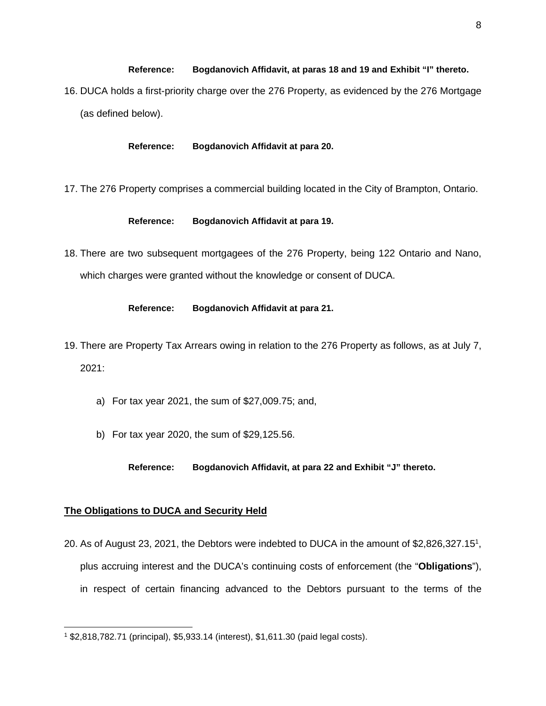# **Reference: Bogdanovich Affidavit, at paras 18 and 19 and Exhibit "I" thereto.**  16. DUCA holds a first-priority charge over the 276 Property, as evidenced by the 276 Mortgage (as defined below).

#### **Reference: Bogdanovich Affidavit at para 20.**

17. The 276 Property comprises a commercial building located in the City of Brampton, Ontario.

#### **Reference: Bogdanovich Affidavit at para 19.**

18. There are two subsequent mortgagees of the 276 Property, being 122 Ontario and Nano, which charges were granted without the knowledge or consent of DUCA.

### **Reference: Bogdanovich Affidavit at para 21.**

- 19. There are Property Tax Arrears owing in relation to the 276 Property as follows, as at July 7, 2021:
	- a) For tax year 2021, the sum of \$27,009.75; and,
	- b) For tax year 2020, the sum of \$29,125.56.

**Reference: Bogdanovich Affidavit, at para 22 and Exhibit "J" thereto.** 

### **The Obligations to DUCA and Security Held**

20. As of August 23, 202[1](#page-7-0), the Debtors were indebted to DUCA in the amount of \$2,826,327.15<sup>1</sup>, plus accruing interest and the DUCA's continuing costs of enforcement (the "**Obligations**"), in respect of certain financing advanced to the Debtors pursuant to the terms of the

<span id="page-7-0"></span><sup>1</sup> \$2,818,782.71 (principal), \$5,933.14 (interest), \$1,611.30 (paid legal costs).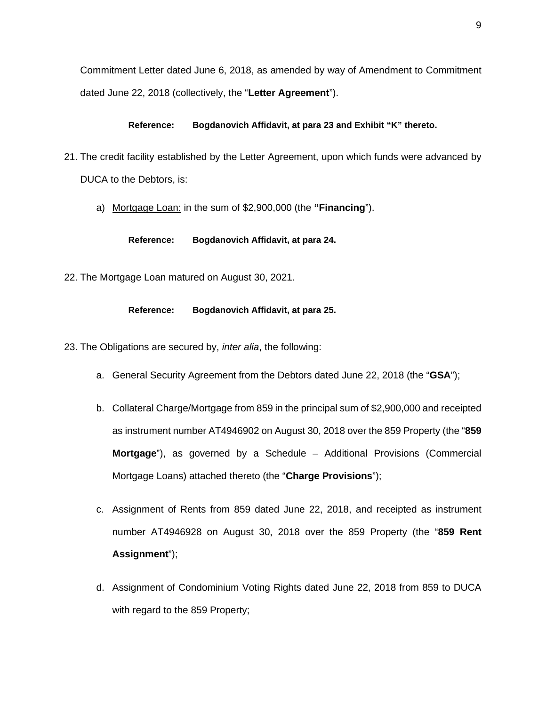Commitment Letter dated June 6, 2018, as amended by way of Amendment to Commitment dated June 22, 2018 (collectively, the "**Letter Agreement**").

### **Reference: Bogdanovich Affidavit, at para 23 and Exhibit "K" thereto.**

- 21. The credit facility established by the Letter Agreement, upon which funds were advanced by DUCA to the Debtors, is:
	- a) Mortgage Loan: in the sum of \$2,900,000 (the **"Financing**").

**Reference: Bogdanovich Affidavit, at para 24.** 

22. The Mortgage Loan matured on August 30, 2021.

# **Reference: Bogdanovich Affidavit, at para 25.**

- 23. The Obligations are secured by, *inter alia*, the following:
	- a. General Security Agreement from the Debtors dated June 22, 2018 (the "**GSA**");
	- b. Collateral Charge/Mortgage from 859 in the principal sum of \$2,900,000 and receipted as instrument number AT4946902 on August 30, 2018 over the 859 Property (the "**859 Mortgage**"), as governed by a Schedule – Additional Provisions (Commercial Mortgage Loans) attached thereto (the "**Charge Provisions**");
	- c. Assignment of Rents from 859 dated June 22, 2018, and receipted as instrument number AT4946928 on August 30, 2018 over the 859 Property (the "**859 Rent Assignment**");
	- d. Assignment of Condominium Voting Rights dated June 22, 2018 from 859 to DUCA with regard to the 859 Property;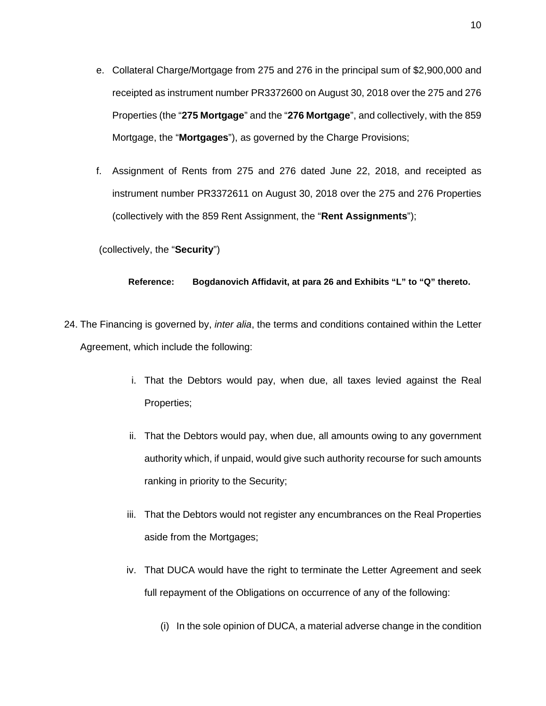- e. Collateral Charge/Mortgage from 275 and 276 in the principal sum of \$2,900,000 and receipted as instrument number PR3372600 on August 30, 2018 over the 275 and 276 Properties (the "**275 Mortgage**" and the "**276 Mortgage**", and collectively, with the 859 Mortgage, the "**Mortgages**"), as governed by the Charge Provisions;
- f. Assignment of Rents from 275 and 276 dated June 22, 2018, and receipted as instrument number PR3372611 on August 30, 2018 over the 275 and 276 Properties (collectively with the 859 Rent Assignment, the "**Rent Assignments**");

(collectively, the "**Security**")

#### **Reference: Bogdanovich Affidavit, at para 26 and Exhibits "L" to "Q" thereto.**

- 24. The Financing is governed by, *inter alia*, the terms and conditions contained within the Letter Agreement, which include the following:
	- i. That the Debtors would pay, when due, all taxes levied against the Real Properties;
	- ii. That the Debtors would pay, when due, all amounts owing to any government authority which, if unpaid, would give such authority recourse for such amounts ranking in priority to the Security;
	- iii. That the Debtors would not register any encumbrances on the Real Properties aside from the Mortgages;
	- iv. That DUCA would have the right to terminate the Letter Agreement and seek full repayment of the Obligations on occurrence of any of the following:
		- (i) In the sole opinion of DUCA, a material adverse change in the condition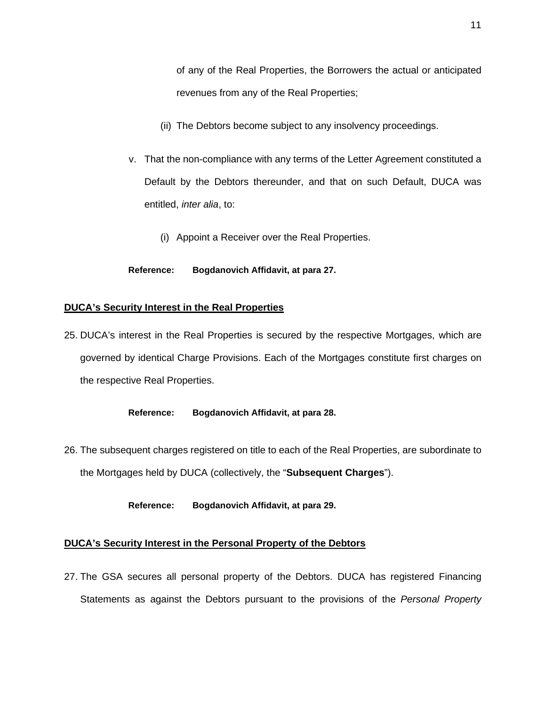of any of the Real Properties, the Borrowers the actual or anticipated revenues from any of the Real Properties;

- (ii) The Debtors become subject to any insolvency proceedings.
- v. That the non-compliance with any terms of the Letter Agreement constituted a Default by the Debtors thereunder, and that on such Default, DUCA was entitled, *inter alia*, to:
	- (i) Appoint a Receiver over the Real Properties.

### **Reference: Bogdanovich Affidavit, at para 27.**

# **DUCA's Security Interest in the Real Properties**

25. DUCA's interest in the Real Properties is secured by the respective Mortgages, which are governed by identical Charge Provisions. Each of the Mortgages constitute first charges on the respective Real Properties.

### **Reference: Bogdanovich Affidavit, at para 28.**

26. The subsequent charges registered on title to each of the Real Properties, are subordinate to the Mortgages held by DUCA (collectively, the "**Subsequent Charges**").

**Reference: Bogdanovich Affidavit, at para 29.**

# **DUCA's Security Interest in the Personal Property of the Debtors**

27. The GSA secures all personal property of the Debtors. DUCA has registered Financing Statements as against the Debtors pursuant to the provisions of the *Personal Property*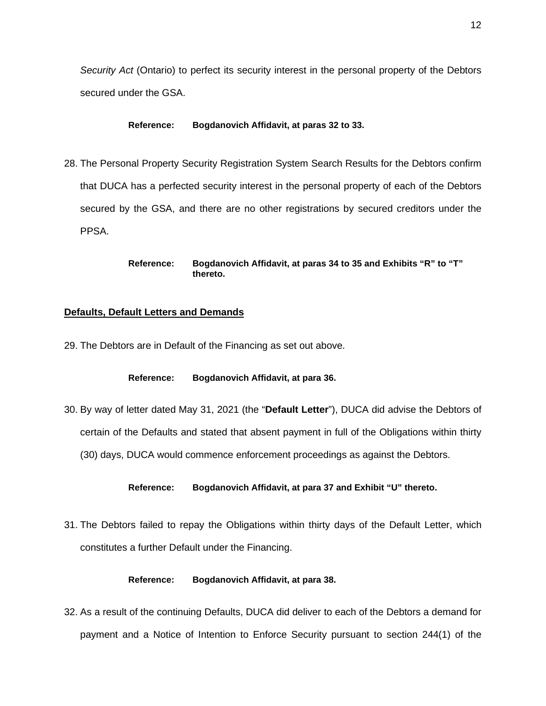*Security Act* (Ontario) to perfect its security interest in the personal property of the Debtors secured under the GSA.

#### **Reference: Bogdanovich Affidavit, at paras 32 to 33.**

28. The Personal Property Security Registration System Search Results for the Debtors confirm that DUCA has a perfected security interest in the personal property of each of the Debtors secured by the GSA, and there are no other registrations by secured creditors under the PPSA.

#### **Reference: Bogdanovich Affidavit, at paras 34 to 35 and Exhibits "R" to "T" thereto.**

#### **Defaults, Default Letters and Demands**

29. The Debtors are in Default of the Financing as set out above.

### **Reference: Bogdanovich Affidavit, at para 36.**

30. By way of letter dated May 31, 2021 (the "**Default Letter**"), DUCA did advise the Debtors of certain of the Defaults and stated that absent payment in full of the Obligations within thirty (30) days, DUCA would commence enforcement proceedings as against the Debtors.

#### **Reference: Bogdanovich Affidavit, at para 37 and Exhibit "U" thereto.**

31. The Debtors failed to repay the Obligations within thirty days of the Default Letter, which constitutes a further Default under the Financing.

#### **Reference: Bogdanovich Affidavit, at para 38.**

32. As a result of the continuing Defaults, DUCA did deliver to each of the Debtors a demand for payment and a Notice of Intention to Enforce Security pursuant to section 244(1) of the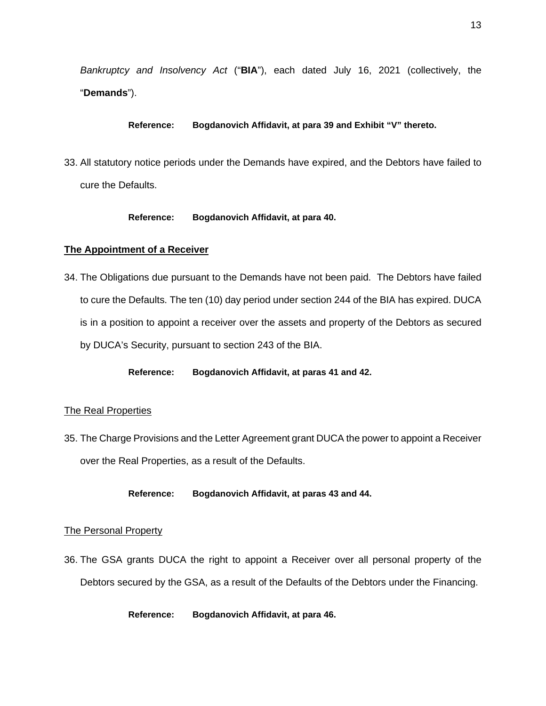*Bankruptcy and Insolvency Act* ("**BIA**"), each dated July 16, 2021 (collectively, the "**Demands**").

**Reference: Bogdanovich Affidavit, at para 39 and Exhibit "V" thereto.** 

33. All statutory notice periods under the Demands have expired, and the Debtors have failed to cure the Defaults.

# **Reference: Bogdanovich Affidavit, at para 40.**

# **The Appointment of a Receiver**

34. The Obligations due pursuant to the Demands have not been paid. The Debtors have failed to cure the Defaults. The ten (10) day period under section 244 of the BIA has expired. DUCA is in a position to appoint a receiver over the assets and property of the Debtors as secured by DUCA's Security, pursuant to section 243 of the BIA.

**Reference: Bogdanovich Affidavit, at paras 41 and 42.** 

# The Real Properties

35. The Charge Provisions and the Letter Agreement grant DUCA the power to appoint a Receiver over the Real Properties, as a result of the Defaults.

**Reference: Bogdanovich Affidavit, at paras 43 and 44.** 

### The Personal Property

36. The GSA grants DUCA the right to appoint a Receiver over all personal property of the Debtors secured by the GSA, as a result of the Defaults of the Debtors under the Financing.

**Reference: Bogdanovich Affidavit, at para 46.**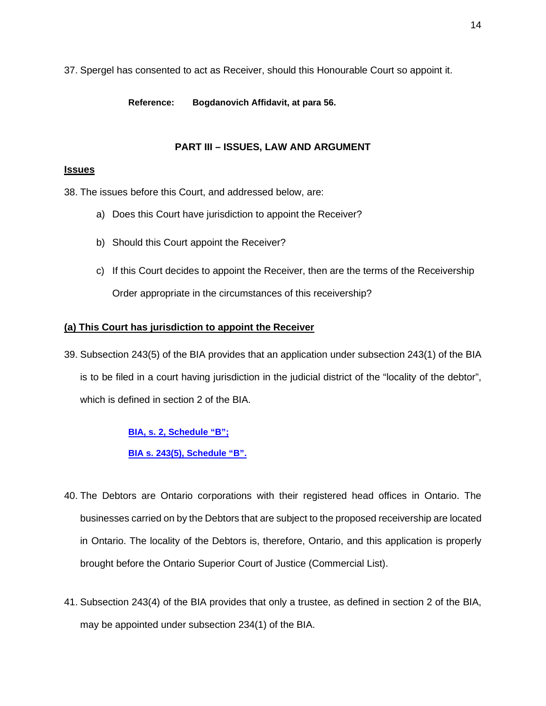37. Spergel has consented to act as Receiver, should this Honourable Court so appoint it.

**Reference: Bogdanovich Affidavit, at para 56.** 

# **PART III – ISSUES, LAW AND ARGUMENT**

# **Issues**

38. The issues before this Court, and addressed below, are:

- a) Does this Court have jurisdiction to appoint the Receiver?
- b) Should this Court appoint the Receiver?
- c) If this Court decides to appoint the Receiver, then are the terms of the Receivership Order appropriate in the circumstances of this receivership?

# **(a) This Court has jurisdiction to appoint the Receiver**

39. Subsection 243(5) of the BIA provides that an application under subsection 243(1) of the BIA is to be filed in a court having jurisdiction in the judicial district of the "locality of the debtor", which is defined in section 2 of the BIA.

**[BIA, s. 2, Schedule "B";](https://harrisonpensa-my.sharepoint.com/:b:/p/lprovost/Eev_x1a8qdREuyoHSQXI-5gB2vGxf8fDkt4trsk-TiS5lQ?e=OiJfUl)**

**[BIA s. 243\(5\), Schedule "B".](https://harrisonpensa-my.sharepoint.com/:b:/p/lprovost/EXHWuquDiaRDhhv2a_ZFa74B2Vr2aIzi7Erl9NwqAWl7RA?e=iB3Bcz)**

- 40. The Debtors are Ontario corporations with their registered head offices in Ontario. The businesses carried on by the Debtors that are subject to the proposed receivership are located in Ontario. The locality of the Debtors is, therefore, Ontario, and this application is properly brought before the Ontario Superior Court of Justice (Commercial List).
- 41. Subsection 243(4) of the BIA provides that only a trustee, as defined in section 2 of the BIA, may be appointed under subsection 234(1) of the BIA.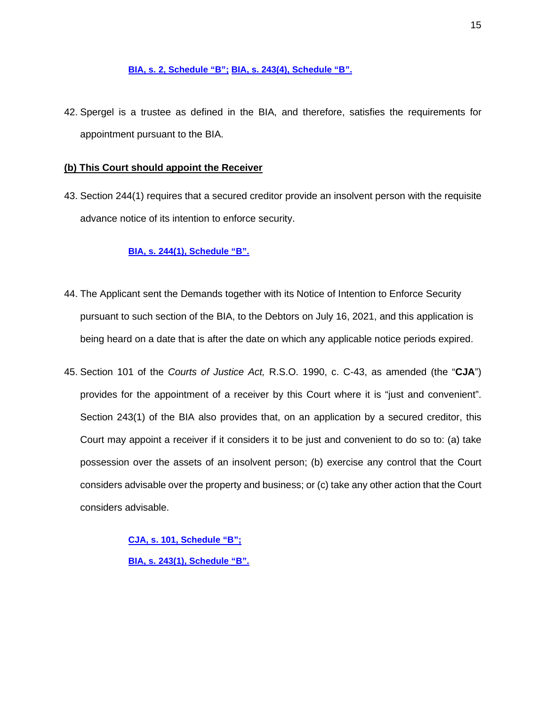### **[BIA, s. 2, Schedule "B";](https://harrisonpensa-my.sharepoint.com/:b:/p/lprovost/Eev_x1a8qdREuyoHSQXI-5gB2vGxf8fDkt4trsk-TiS5lQ?e=wbip1p) [BIA, s. 243\(4\), Schedule "B".](https://harrisonpensa-my.sharepoint.com/:b:/p/lprovost/Ed2sBtAjjAxCpQkPZ3ijIPsBtbGtSmgOhU9BE0Iex1eNXg?e=oLxpyw)**

42. Spergel is a trustee as defined in the BIA, and therefore, satisfies the requirements for appointment pursuant to the BIA.

# **(b) This Court should appoint the Receiver**

43. Section 244(1) requires that a secured creditor provide an insolvent person with the requisite advance notice of its intention to enforce security.

# **[BIA, s. 244\(1\), Schedule "B".](https://harrisonpensa-my.sharepoint.com/:b:/p/lprovost/EeTXSsRQzl1EqII-hIIwq8kBmFLG3XVf1VtCm_tVG62Uhg?e=15nP5f)**

- 44. The Applicant sent the Demands together with its Notice of Intention to Enforce Security pursuant to such section of the BIA, to the Debtors on July 16, 2021, and this application is being heard on a date that is after the date on which any applicable notice periods expired.
- 45. Section 101 of the *Courts of Justice Act,* R.S.O. 1990, c. C-43, as amended (the "**CJA**") provides for the appointment of a receiver by this Court where it is "just and convenient". Section 243(1) of the BIA also provides that, on an application by a secured creditor, this Court may appoint a receiver if it considers it to be just and convenient to do so to: (a) take possession over the assets of an insolvent person; (b) exercise any control that the Court considers advisable over the property and business; or (c) take any other action that the Court considers advisable.

**[CJA, s. 101, Schedule "B";](https://harrisonpensa-my.sharepoint.com/:b:/p/lprovost/ETCf2VIx_YhHkcNPfvHrxcwBlj73x0nu0otc-dLleZE_8w?e=pm3tKj) [BIA, s. 243\(1\), Schedule "B".](https://harrisonpensa-my.sharepoint.com/:b:/p/lprovost/EblfYAfzToNDm1P6sFTFXvwBAGOerSkXL_3HV5EzVfShUA?e=tOQfFL)**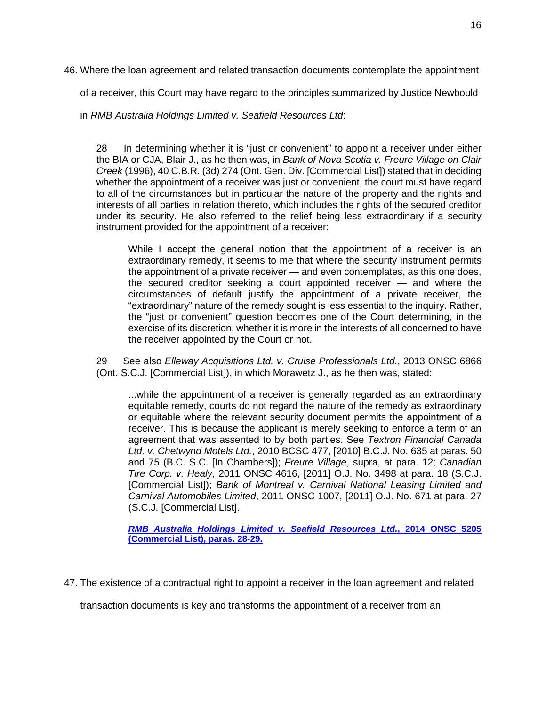46. Where the loan agreement and related transaction documents contemplate the appointment

of a receiver, this Court may have regard to the principles summarized by Justice Newbould

in *RMB Australia Holdings Limited v. Seafield Resources Ltd*:

28 In determining whether it is "just or convenient" to appoint a receiver under either the BIA or CJA, Blair J., as he then was, in *Bank of Nova Scotia v. Freure Village on Clair Creek* (1996), 40 C.B.R. (3d) 274 (Ont. Gen. Div. [Commercial List]) stated that in deciding whether the appointment of a receiver was just or convenient, the court must have regard to all of the circumstances but in particular the nature of the property and the rights and interests of all parties in relation thereto, which includes the rights of the secured creditor under its security. He also referred to the relief being less extraordinary if a security instrument provided for the appointment of a receiver:

While I accept the general notion that the appointment of a receiver is an extraordinary remedy, it seems to me that where the security instrument permits the appointment of a private receiver — and even contemplates, as this one does, the secured creditor seeking a court appointed receiver — and where the circumstances of default justify the appointment of a private receiver, the "extraordinary" nature of the remedy sought is less essential to the inquiry. Rather, the "just or convenient" question becomes one of the Court determining, in the exercise of its discretion, whether it is more in the interests of all concerned to have the receiver appointed by the Court or not.

29 See also *Elleway Acquisitions Ltd. v. Cruise Professionals Ltd.*, 2013 ONSC 6866 (Ont. S.C.J. [Commercial List]), in which Morawetz J., as he then was, stated:

...while the appointment of a receiver is generally regarded as an extraordinary equitable remedy, courts do not regard the nature of the remedy as extraordinary or equitable where the relevant security document permits the appointment of a receiver. This is because the applicant is merely seeking to enforce a term of an agreement that was assented to by both parties. See *Textron Financial Canada Ltd. v. Chetwynd Motels Ltd.*, 2010 BCSC 477, [2010] B.C.J. No. 635 at paras. 50 and 75 (B.C. S.C. [In Chambers]); *Freure Village*, supra, at para. 12; *Canadian Tire Corp. v. Healy*, 2011 ONSC 4616, [2011] O.J. No. 3498 at para. 18 (S.C.J. [Commercial List]); *Bank of Montreal v. Carnival National Leasing Limited and Carnival Automobiles Limited*, 2011 ONSC 1007, [2011] O.J. No. 671 at para. 27 (S.C.J. [Commercial List].

*[RMB Australia Holdings Limited v. Seafield Resources Ltd.](https://harrisonpensa-my.sharepoint.com/:b:/p/lprovost/EbwuMpDvCdBIksVXKVMCBooBkIKoVweQq_NS7tvcqx9kFA?e=E5bxe6)***[, 2014 ONSC 5205](https://harrisonpensa-my.sharepoint.com/:b:/p/lprovost/EbwuMpDvCdBIksVXKVMCBooBkIKoVweQq_NS7tvcqx9kFA?e=E5bxe6)  [\(Commercial List\), paras. 28-29.](https://harrisonpensa-my.sharepoint.com/:b:/p/lprovost/EbwuMpDvCdBIksVXKVMCBooBkIKoVweQq_NS7tvcqx9kFA?e=E5bxe6)**

47. The existence of a contractual right to appoint a receiver in the loan agreement and related

transaction documents is key and transforms the appointment of a receiver from an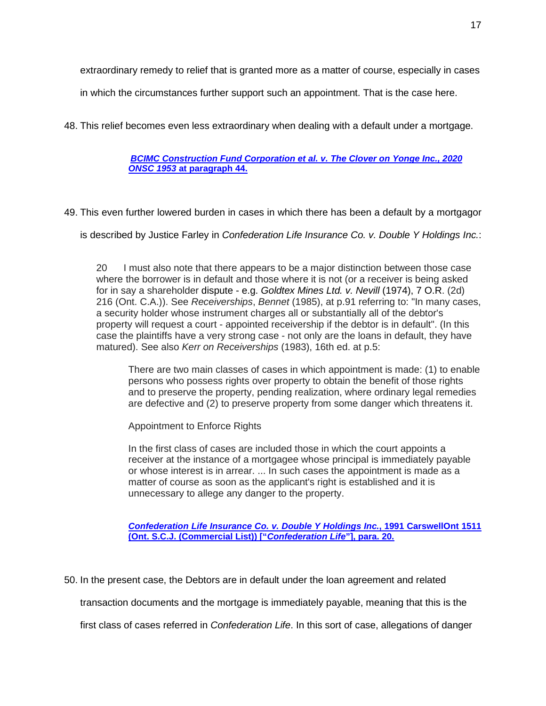extraordinary remedy to relief that is granted more as a matter of course, especially in cases

in which the circumstances further support such an appointment. That is the case here.

48. This relief becomes even less extraordinary when dealing with a default under a mortgage.

*[BCIMC Construction Fund Corporation et al. v. The Clover on Yonge Inc., 2020](https://harrisonpensa-my.sharepoint.com/:b:/p/lprovost/EWg4YmdLOTdPkw9z-RwB1L8B8YyzsUltTjnqkp0-NMymzg?e=72GahA)  ONSC 1953* **[at paragraph 44.](https://harrisonpensa-my.sharepoint.com/:b:/p/lprovost/EWg4YmdLOTdPkw9z-RwB1L8B8YyzsUltTjnqkp0-NMymzg?e=72GahA)**

49. This even further lowered burden in cases in which there has been a default by a mortgagor

is described by Justice Farley in *Confederation Life Insurance Co. v. Double Y Holdings Inc.*:

20 I must also note that there appears to be a major distinction between those case where the borrower is in default and those where it is not (or a receiver is being asked for in say a shareholder dispute - e.g. *Goldtex Mines Ltd. v. Nevill* (1974), 7 O.R. (2d) 216 (Ont. C.A.)). See *Receiverships*, *Bennet* (1985), at p.91 referring to: "In many cases, a security holder whose instrument charges all or substantially all of the debtor's property will request a court - appointed receivership if the debtor is in default". (In this case the plaintiffs have a very strong case - not only are the loans in default, they have matured). See also *Kerr on Receiverships* (1983), 16th ed. at p.5:

There are two main classes of cases in which appointment is made: (1) to enable persons who possess rights over property to obtain the benefit of those rights and to preserve the property, pending realization, where ordinary legal remedies are defective and (2) to preserve property from some danger which threatens it.

Appointment to Enforce Rights

In the first class of cases are included those in which the court appoints a receiver at the instance of a mortgagee whose principal is immediately payable or whose interest is in arrear. ... In such cases the appointment is made as a matter of course as soon as the applicant's right is established and it is unnecessary to allege any danger to the property.

*[Confederation Life Insurance Co. v. Double Y Holdings Inc.](https://harrisonpensa-my.sharepoint.com/:b:/p/lprovost/EfEy43zrV-BJhH-9SvnnB9gBvOhM3uENZOCLvSamRtU4KQ?e=cuSdUo)***[, 1991 CarswellOnt 1511](https://harrisonpensa-my.sharepoint.com/:b:/p/lprovost/EfEy43zrV-BJhH-9SvnnB9gBvOhM3uENZOCLvSamRtU4KQ?e=cuSdUo)  [\(Ont. S.C.J. \(Commercial List\)\) \["](https://harrisonpensa-my.sharepoint.com/:b:/p/lprovost/EfEy43zrV-BJhH-9SvnnB9gBvOhM3uENZOCLvSamRtU4KQ?e=cuSdUo)***Confederation Life***"], para. 20.**

50. In the present case, the Debtors are in default under the loan agreement and related

transaction documents and the mortgage is immediately payable, meaning that this is the

first class of cases referred in *Confederation Life*. In this sort of case, allegations of danger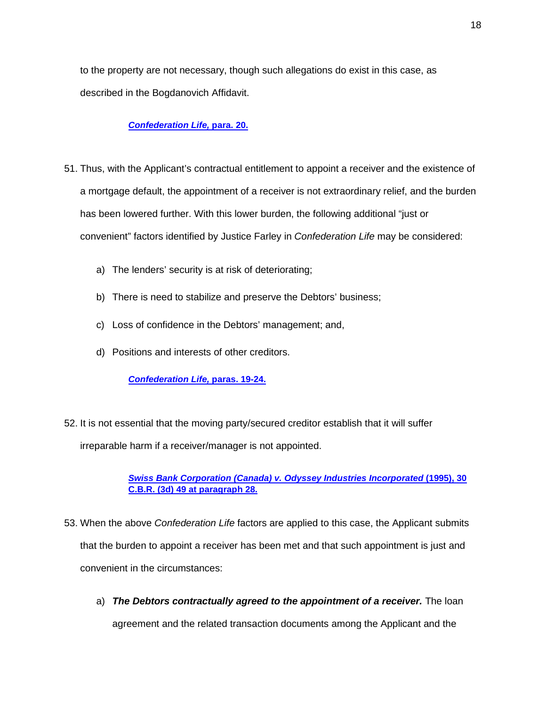to the property are not necessary, though such allegations do exist in this case, as described in the Bogdanovich Affidavit.

#### *[Confederation Life,](https://harrisonpensa-my.sharepoint.com/:b:/p/lprovost/EfEy43zrV-BJhH-9SvnnB9gBvOhM3uENZOCLvSamRtU4KQ?e=cuSdUo)* **para. 20.**

- 51. Thus, with the Applicant's contractual entitlement to appoint a receiver and the existence of a mortgage default, the appointment of a receiver is not extraordinary relief, and the burden has been lowered further. With this lower burden, the following additional "just or convenient" factors identified by Justice Farley in *Confederation Life* may be considered:
	- a) The lenders' security is at risk of deteriorating;
	- b) There is need to stabilize and preserve the Debtors' business;
	- c) Loss of confidence in the Debtors' management; and,
	- d) Positions and interests of other creditors.

*[Confederation Life,](https://harrisonpensa-my.sharepoint.com/:b:/p/lprovost/EfEy43zrV-BJhH-9SvnnB9gBvOhM3uENZOCLvSamRtU4KQ?e=cuSdUo)* **paras. 19-24.**

52. It is not essential that the moving party/secured creditor establish that it will suffer irreparable harm if a receiver/manager is not appointed.

> *[Swiss Bank Corporation \(Canada\) v. Odyssey Industries Incorporated](https://harrisonpensa-my.sharepoint.com/:b:/p/lprovost/Ea2McWq07sRCu02PI5a9wM8BTneorXoVgOYIKWqVCJDkDg?e=bftsgB)* **(1995), 30 [C.B.R. \(3d\) 49 at paragraph 28.](https://harrisonpensa-my.sharepoint.com/:b:/p/lprovost/Ea2McWq07sRCu02PI5a9wM8BTneorXoVgOYIKWqVCJDkDg?e=bftsgB)**

- 53. When the above *Confederation Life* factors are applied to this case, the Applicant submits that the burden to appoint a receiver has been met and that such appointment is just and convenient in the circumstances:
	- a) **The Debtors contractually agreed to the appointment of a receiver.** The loan agreement and the related transaction documents among the Applicant and the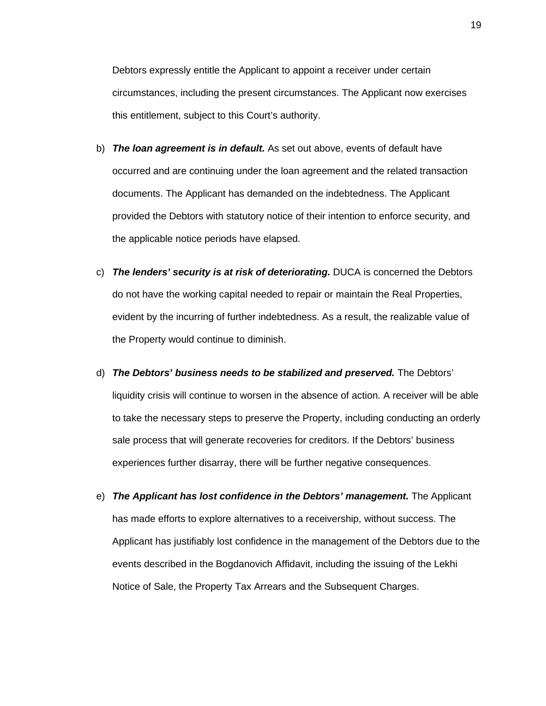Debtors expressly entitle the Applicant to appoint a receiver under certain circumstances, including the present circumstances. The Applicant now exercises this entitlement, subject to this Court's authority.

- b) *The loan agreement is in default.* As set out above, events of default have occurred and are continuing under the loan agreement and the related transaction documents. The Applicant has demanded on the indebtedness. The Applicant provided the Debtors with statutory notice of their intention to enforce security, and the applicable notice periods have elapsed.
- c) *The lenders' security is at risk of deteriorating.* DUCA is concerned the Debtors do not have the working capital needed to repair or maintain the Real Properties, evident by the incurring of further indebtedness. As a result, the realizable value of the Property would continue to diminish.
- d) *The Debtors' business needs to be stabilized and preserved.* The Debtors' liquidity crisis will continue to worsen in the absence of action. A receiver will be able to take the necessary steps to preserve the Property, including conducting an orderly sale process that will generate recoveries for creditors. If the Debtors' business experiences further disarray, there will be further negative consequences.
- e) *The Applicant has lost confidence in the Debtors' management.* The Applicant has made efforts to explore alternatives to a receivership, without success. The Applicant has justifiably lost confidence in the management of the Debtors due to the events described in the Bogdanovich Affidavit, including the issuing of the Lekhi Notice of Sale, the Property Tax Arrears and the Subsequent Charges.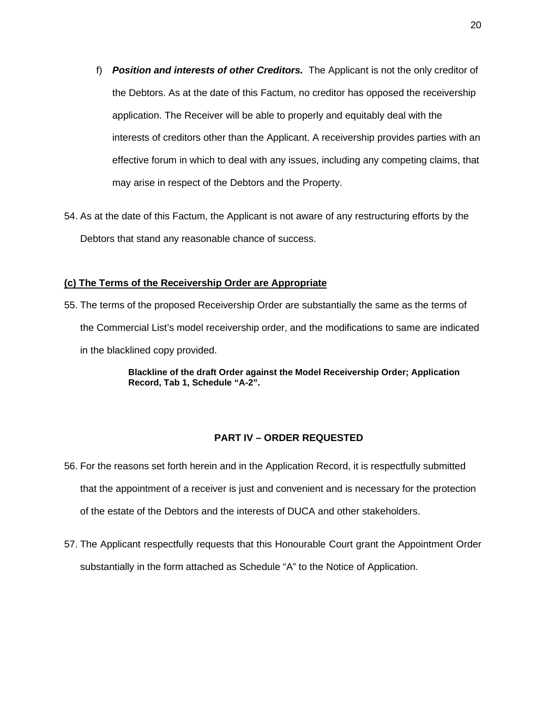- f) *Position and interests of other Creditors.* The Applicant is not the only creditor of the Debtors. As at the date of this Factum, no creditor has opposed the receivership application. The Receiver will be able to properly and equitably deal with the interests of creditors other than the Applicant. A receivership provides parties with an effective forum in which to deal with any issues, including any competing claims, that may arise in respect of the Debtors and the Property.
- 54. As at the date of this Factum, the Applicant is not aware of any restructuring efforts by the Debtors that stand any reasonable chance of success.

### **(c) The Terms of the Receivership Order are Appropriate**

55. The terms of the proposed Receivership Order are substantially the same as the terms of the Commercial List's model receivership order, and the modifications to same are indicated in the blacklined copy provided.

> **Blackline of the draft Order against the Model Receivership Order; Application Record, Tab 1, Schedule "A-2".**

# **PART IV – ORDER REQUESTED**

- 56. For the reasons set forth herein and in the Application Record, it is respectfully submitted that the appointment of a receiver is just and convenient and is necessary for the protection of the estate of the Debtors and the interests of DUCA and other stakeholders.
- 57. The Applicant respectfully requests that this Honourable Court grant the Appointment Order substantially in the form attached as Schedule "A" to the Notice of Application.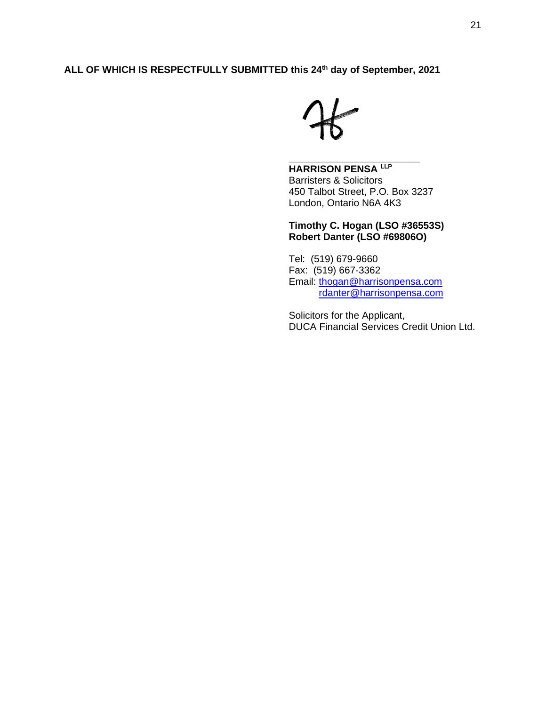# **ALL OF WHICH IS RESPECTFULLY SUBMITTED this 24th day of September, 2021**

# **HARRISON PENSA LLP**

Barristers & Solicitors 450 Talbot Street, P.O. Box 3237 London, Ontario N6A 4K3

**\_\_\_\_\_\_\_\_\_\_\_\_\_\_\_\_\_\_\_\_\_\_** 

**Timothy C. Hogan (LSO #36553S) Robert Danter (LSO #69806O)**

Tel: (519) 679-9660 Fax: (519) 667-3362 Email: [thogan@harrisonpensa.com](mailto:thogan@harrisonpensa.com) [rdanter@harrisonpensa.com](mailto:rdanter@harrisonpensa.com)

Solicitors for the Applicant, DUCA Financial Services Credit Union Ltd.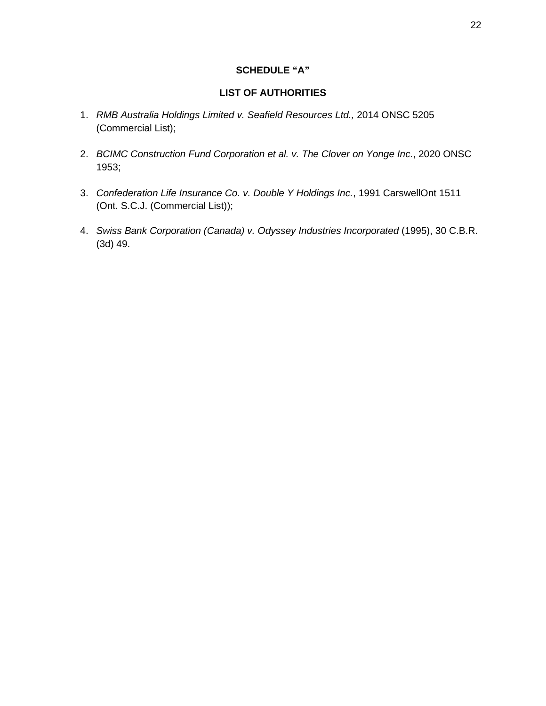# **SCHEDULE "A"**

# **LIST OF AUTHORITIES**

- 1. *RMB Australia Holdings Limited v. Seafield Resources Ltd.,* 2014 ONSC 5205 (Commercial List);
- 2. *BCIMC Construction Fund Corporation et al. v. The Clover on Yonge Inc.*, 2020 ONSC 1953;
- 3. *Confederation Life Insurance Co. v. Double Y Holdings Inc.*, 1991 CarswellOnt 1511 (Ont. S.C.J. (Commercial List));
- 4. *Swiss Bank Corporation (Canada) v. Odyssey Industries Incorporated* (1995), 30 C.B.R. (3d) 49.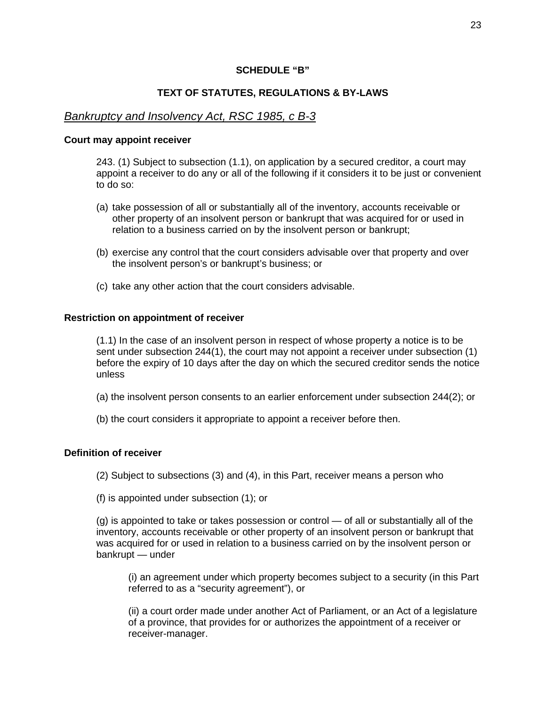# **SCHEDULE "B"**

# **TEXT OF STATUTES, REGULATIONS & BY-LAWS**

# *Bankruptcy and Insolvency Act, RSC 1985, c B-3*

#### **Court may appoint receiver**

243. (1) Subject to subsection (1.1), on application by a secured creditor, a court may appoint a receiver to do any or all of the following if it considers it to be just or convenient to do so:

- (a) take possession of all or substantially all of the inventory, accounts receivable or other property of an insolvent person or bankrupt that was acquired for or used in relation to a business carried on by the insolvent person or bankrupt;
- (b) exercise any control that the court considers advisable over that property and over the insolvent person's or bankrupt's business; or
- (c) take any other action that the court considers advisable.

### **Restriction on appointment of receiver**

(1.1) In the case of an insolvent person in respect of whose property a notice is to be sent under subsection 244(1), the court may not appoint a receiver under subsection (1) before the expiry of 10 days after the day on which the secured creditor sends the notice unless

- (a) the insolvent person consents to an earlier enforcement under subsection 244(2); or
- (b) the court considers it appropriate to appoint a receiver before then.

# **Definition of receiver**

(2) Subject to subsections (3) and (4), in this Part, receiver means a person who

(f) is appointed under subsection (1); or

(g) is appointed to take or takes possession or control — of all or substantially all of the inventory, accounts receivable or other property of an insolvent person or bankrupt that was acquired for or used in relation to a business carried on by the insolvent person or bankrupt — under

(i) an agreement under which property becomes subject to a security (in this Part referred to as a "security agreement"), or

(ii) a court order made under another Act of Parliament, or an Act of a legislature of a province, that provides for or authorizes the appointment of a receiver or receiver-manager.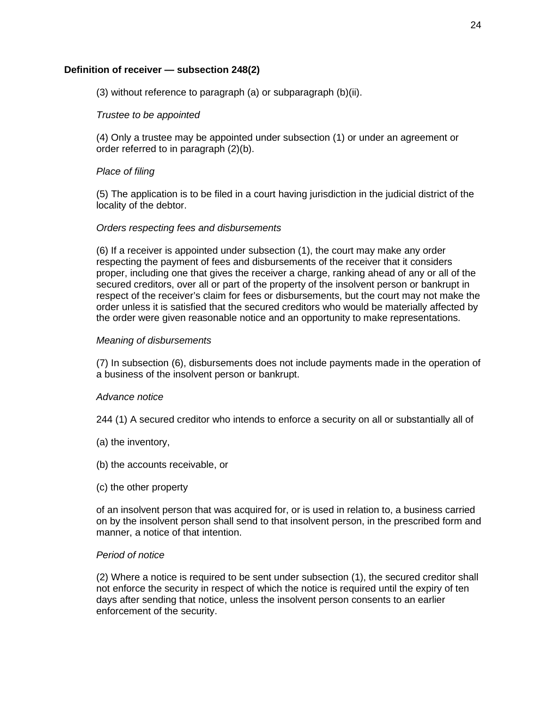# **Definition of receiver — subsection 248(2)**

(3) without reference to paragraph (a) or subparagraph (b)(ii).

# *Trustee to be appointed*

(4) Only a trustee may be appointed under subsection (1) or under an agreement or order referred to in paragraph (2)(b).

### *Place of filing*

(5) The application is to be filed in a court having jurisdiction in the judicial district of the locality of the debtor.

# *Orders respecting fees and disbursements*

(6) If a receiver is appointed under subsection (1), the court may make any order respecting the payment of fees and disbursements of the receiver that it considers proper, including one that gives the receiver a charge, ranking ahead of any or all of the secured creditors, over all or part of the property of the insolvent person or bankrupt in respect of the receiver's claim for fees or disbursements, but the court may not make the order unless it is satisfied that the secured creditors who would be materially affected by the order were given reasonable notice and an opportunity to make representations.

# *Meaning of disbursements*

(7) In subsection (6), disbursements does not include payments made in the operation of a business of the insolvent person or bankrupt.

### *Advance notice*

244 (1) A secured creditor who intends to enforce a security on all or substantially all of

- (a) the inventory,
- (b) the accounts receivable, or
- (c) the other property

of an insolvent person that was acquired for, or is used in relation to, a business carried on by the insolvent person shall send to that insolvent person, in the prescribed form and manner, a notice of that intention.

### *Period of notice*

(2) Where a notice is required to be sent under subsection (1), the secured creditor shall not enforce the security in respect of which the notice is required until the expiry of ten days after sending that notice, unless the insolvent person consents to an earlier enforcement of the security.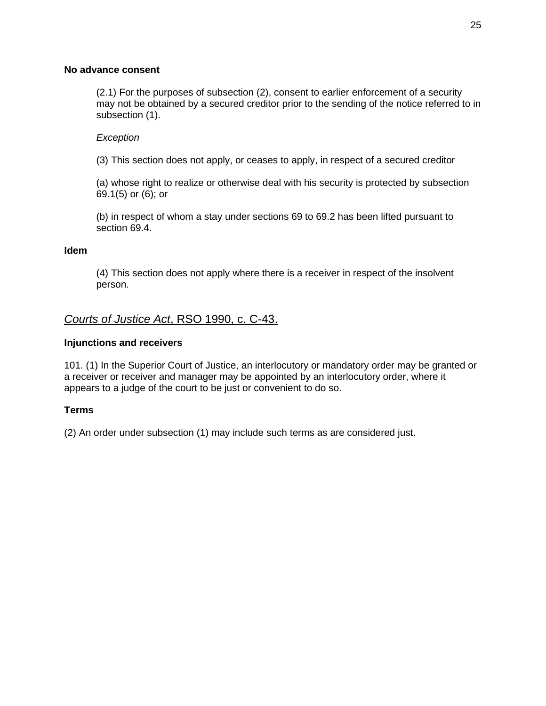# **No advance consent**

(2.1) For the purposes of subsection (2), consent to earlier enforcement of a security may not be obtained by a secured creditor prior to the sending of the notice referred to in subsection (1).

# *Exception*

(3) This section does not apply, or ceases to apply, in respect of a secured creditor

(a) whose right to realize or otherwise deal with his security is protected by subsection 69.1(5) or (6); or

(b) in respect of whom a stay under sections 69 to 69.2 has been lifted pursuant to section 69.4.

# **Idem**

(4) This section does not apply where there is a receiver in respect of the insolvent person.

# *Courts of Justice Act*, RSO 1990, c. C-43.

# **Injunctions and receivers**

101. (1) In the Superior Court of Justice, an interlocutory or mandatory order may be granted or a receiver or receiver and manager may be appointed by an interlocutory order, where it appears to a judge of the court to be just or convenient to do so.

# **Terms**

(2) An order under subsection (1) may include such terms as are considered just.